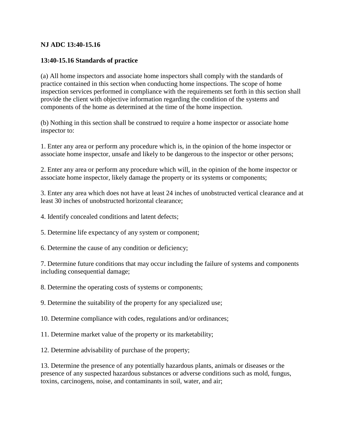## **NJ ADC 13:40-15.16**

## **13:40-15.16 Standards of practice**

(a) All home inspectors and associate home inspectors shall comply with the standards of practice contained in this section when conducting home inspections. The scope of home inspection services performed in compliance with the requirements set forth in this section shall provide the client with objective information regarding the condition of the systems and components of the home as determined at the time of the home inspection.

(b) Nothing in this section shall be construed to require a home inspector or associate home inspector to:

1. Enter any area or perform any procedure which is, in the opinion of the home inspector or associate home inspector, unsafe and likely to be dangerous to the inspector or other persons;

2. Enter any area or perform any procedure which will, in the opinion of the home inspector or associate home inspector, likely damage the property or its systems or components;

3. Enter any area which does not have at least 24 inches of unobstructed vertical clearance and at least 30 inches of unobstructed horizontal clearance;

- 4. Identify concealed conditions and latent defects;
- 5. Determine life expectancy of any system or component;
- 6. Determine the cause of any condition or deficiency;

7. Determine future conditions that may occur including the failure of systems and components including consequential damage;

8. Determine the operating costs of systems or components;

9. Determine the suitability of the property for any specialized use;

10. Determine compliance with codes, regulations and/or ordinances;

11. Determine market value of the property or its marketability;

12. Determine advisability of purchase of the property;

13. Determine the presence of any potentially hazardous plants, animals or diseases or the presence of any suspected hazardous substances or adverse conditions such as mold, fungus, toxins, carcinogens, noise, and contaminants in soil, water, and air;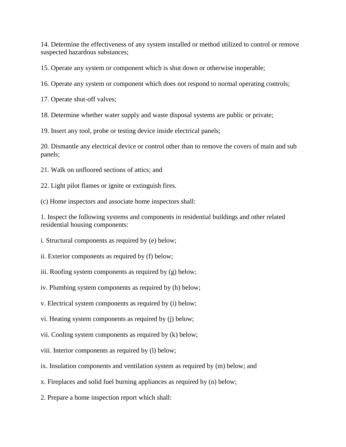14. Determine the effectiveness of any system installed or method utilized to control or remove suspected hazardous substances;

15. Operate any system or component which is shut down or otherwise inoperable;

16. Operate any system or component which does not respond to normal operating controls;

17. Operate shut-off valves;

18. Determine whether water supply and waste disposal systems are public or private;

19. Insert any tool, probe or testing device inside electrical panels;

20. Dismantle any electrical device or control other than to remove the covers of main and sub panels;

21. Walk on unfloored sections of attics; and

22. Light pilot flames or ignite or extinguish fires.

(c) Home inspectors and associate home inspectors shall:

1. Inspect the following systems and components in residential buildings and other related residential housing components:

i. Structural components as required by (e) below;

ii. Exterior components as required by (f) below;

iii. Roofing system components as required by (g) below;

iv. Plumbing system components as required by (h) below;

v. Electrical system components as required by (i) below;

vi. Heating system components as required by (j) below;

vii. Cooling system components as required by (k) below;

viii. Interior components as required by (l) below;

ix. Insulation components and ventilation system as required by (m) below; and

x. Fireplaces and solid fuel burning appliances as required by (n) below;

2. Prepare a home inspection report which shall: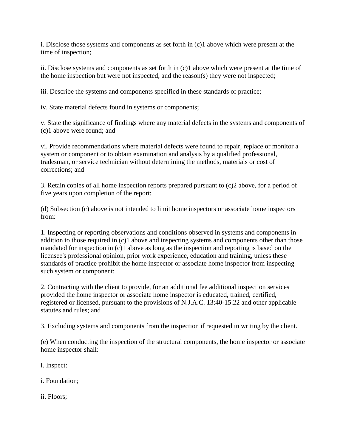i. Disclose those systems and components as set forth in (c)1 above which were present at the time of inspection;

ii. Disclose systems and components as set forth in (c)1 above which were present at the time of the home inspection but were not inspected, and the reason(s) they were not inspected;

iii. Describe the systems and components specified in these standards of practice;

iv. State material defects found in systems or components;

v. State the significance of findings where any material defects in the systems and components of (c)1 above were found; and

vi. Provide recommendations where material defects were found to repair, replace or monitor a system or component or to obtain examination and analysis by a qualified professional, tradesman, or service technician without determining the methods, materials or cost of corrections; and

3. Retain copies of all home inspection reports prepared pursuant to (c)2 above, for a period of five years upon completion of the report;

(d) Subsection (c) above is not intended to limit home inspectors or associate home inspectors from:

1. Inspecting or reporting observations and conditions observed in systems and components in addition to those required in (c)1 above and inspecting systems and components other than those mandated for inspection in (c)1 above as long as the inspection and reporting is based on the licensee's professional opinion, prior work experience, education and training, unless these standards of practice prohibit the home inspector or associate home inspector from inspecting such system or component;

2. Contracting with the client to provide, for an additional fee additional inspection services provided the home inspector or associate home inspector is educated, trained, certified, registered or licensed, pursuant to the provisions of N.J.A.C. 13:40-15.22 and other applicable statutes and rules; and

3. Excluding systems and components from the inspection if requested in writing by the client.

(e) When conducting the inspection of the structural components, the home inspector or associate home inspector shall:

l. Inspect:

i. Foundation;

ii. Floors;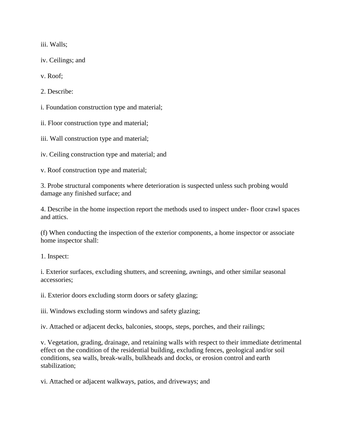iii. Walls;

iv. Ceilings; and

v. Roof;

2. Describe:

i. Foundation construction type and material;

ii. Floor construction type and material;

iii. Wall construction type and material;

iv. Ceiling construction type and material; and

v. Roof construction type and material;

3. Probe structural components where deterioration is suspected unless such probing would damage any finished surface; and

4. Describe in the home inspection report the methods used to inspect under- floor crawl spaces and attics.

(f) When conducting the inspection of the exterior components, a home inspector or associate home inspector shall:

1. Inspect:

i. Exterior surfaces, excluding shutters, and screening, awnings, and other similar seasonal accessories;

ii. Exterior doors excluding storm doors or safety glazing;

iii. Windows excluding storm windows and safety glazing;

iv. Attached or adjacent decks, balconies, stoops, steps, porches, and their railings;

v. Vegetation, grading, drainage, and retaining walls with respect to their immediate detrimental effect on the condition of the residential building, excluding fences, geological and/or soil conditions, sea walls, break-walls, bulkheads and docks, or erosion control and earth stabilization;

vi. Attached or adjacent walkways, patios, and driveways; and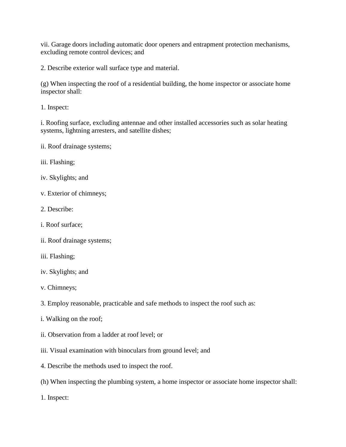vii. Garage doors including automatic door openers and entrapment protection mechanisms, excluding remote control devices; and

2. Describe exterior wall surface type and material.

(g) When inspecting the roof of a residential building, the home inspector or associate home inspector shall:

1. Inspect:

i. Roofing surface, excluding antennae and other installed accessories such as solar heating systems, lightning arresters, and satellite dishes;

ii. Roof drainage systems;

iii. Flashing;

- iv. Skylights; and
- v. Exterior of chimneys;
- 2. Describe:
- i. Roof surface;
- ii. Roof drainage systems;
- iii. Flashing;
- iv. Skylights; and
- v. Chimneys;
- 3. Employ reasonable, practicable and safe methods to inspect the roof such as:
- i. Walking on the roof;
- ii. Observation from a ladder at roof level; or
- iii. Visual examination with binoculars from ground level; and
- 4. Describe the methods used to inspect the roof.
- (h) When inspecting the plumbing system, a home inspector or associate home inspector shall:
- 1. Inspect: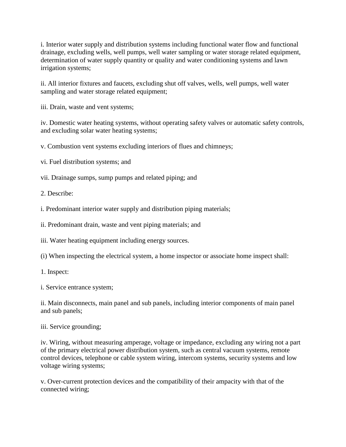i. Interior water supply and distribution systems including functional water flow and functional drainage, excluding wells, well pumps, well water sampling or water storage related equipment, determination of water supply quantity or quality and water conditioning systems and lawn irrigation systems;

ii. All interior fixtures and faucets, excluding shut off valves, wells, well pumps, well water sampling and water storage related equipment;

iii. Drain, waste and vent systems;

iv. Domestic water heating systems, without operating safety valves or automatic safety controls, and excluding solar water heating systems;

v. Combustion vent systems excluding interiors of flues and chimneys;

vi. Fuel distribution systems; and

vii. Drainage sumps, sump pumps and related piping; and

2. Describe:

i. Predominant interior water supply and distribution piping materials;

ii. Predominant drain, waste and vent piping materials; and

iii. Water heating equipment including energy sources.

(i) When inspecting the electrical system, a home inspector or associate home inspect shall:

1. Inspect:

i. Service entrance system;

ii. Main disconnects, main panel and sub panels, including interior components of main panel and sub panels;

iii. Service grounding;

iv. Wiring, without measuring amperage, voltage or impedance, excluding any wiring not a part of the primary electrical power distribution system, such as central vacuum systems, remote control devices, telephone or cable system wiring, intercom systems, security systems and low voltage wiring systems;

v. Over-current protection devices and the compatibility of their ampacity with that of the connected wiring;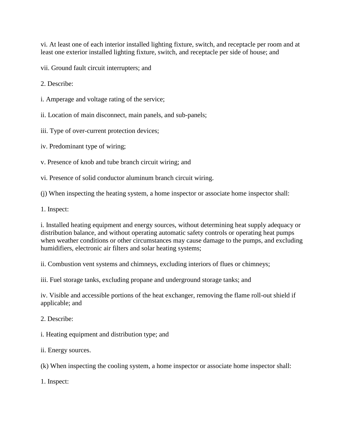vi. At least one of each interior installed lighting fixture, switch, and receptacle per room and at least one exterior installed lighting fixture, switch, and receptacle per side of house; and

vii. Ground fault circuit interrupters; and

2. Describe:

i. Amperage and voltage rating of the service;

ii. Location of main disconnect, main panels, and sub-panels;

iii. Type of over-current protection devices;

iv. Predominant type of wiring;

v. Presence of knob and tube branch circuit wiring; and

vi. Presence of solid conductor aluminum branch circuit wiring.

(j) When inspecting the heating system, a home inspector or associate home inspector shall:

1. Inspect:

i. Installed heating equipment and energy sources, without determining heat supply adequacy or distribution balance, and without operating automatic safety controls or operating heat pumps when weather conditions or other circumstances may cause damage to the pumps, and excluding humidifiers, electronic air filters and solar heating systems;

ii. Combustion vent systems and chimneys, excluding interiors of flues or chimneys;

iii. Fuel storage tanks, excluding propane and underground storage tanks; and

iv. Visible and accessible portions of the heat exchanger, removing the flame roll-out shield if applicable; and

2. Describe:

i. Heating equipment and distribution type; and

ii. Energy sources.

(k) When inspecting the cooling system, a home inspector or associate home inspector shall:

1. Inspect: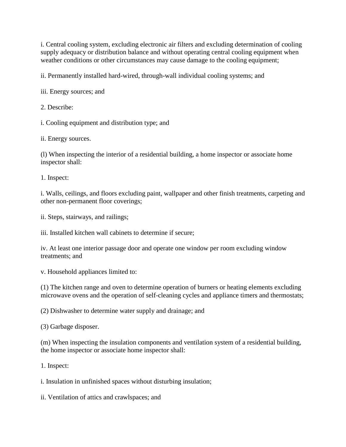i. Central cooling system, excluding electronic air filters and excluding determination of cooling supply adequacy or distribution balance and without operating central cooling equipment when weather conditions or other circumstances may cause damage to the cooling equipment;

ii. Permanently installed hard-wired, through-wall individual cooling systems; and

iii. Energy sources; and

2. Describe:

i. Cooling equipment and distribution type; and

ii. Energy sources.

(l) When inspecting the interior of a residential building, a home inspector or associate home inspector shall:

1. Inspect:

i. Walls, ceilings, and floors excluding paint, wallpaper and other finish treatments, carpeting and other non-permanent floor coverings;

ii. Steps, stairways, and railings;

iii. Installed kitchen wall cabinets to determine if secure;

iv. At least one interior passage door and operate one window per room excluding window treatments; and

v. Household appliances limited to:

(1) The kitchen range and oven to determine operation of burners or heating elements excluding microwave ovens and the operation of self-cleaning cycles and appliance timers and thermostats;

(2) Dishwasher to determine water supply and drainage; and

(3) Garbage disposer.

(m) When inspecting the insulation components and ventilation system of a residential building, the home inspector or associate home inspector shall:

1. Inspect:

i. Insulation in unfinished spaces without disturbing insulation;

ii. Ventilation of attics and crawlspaces; and